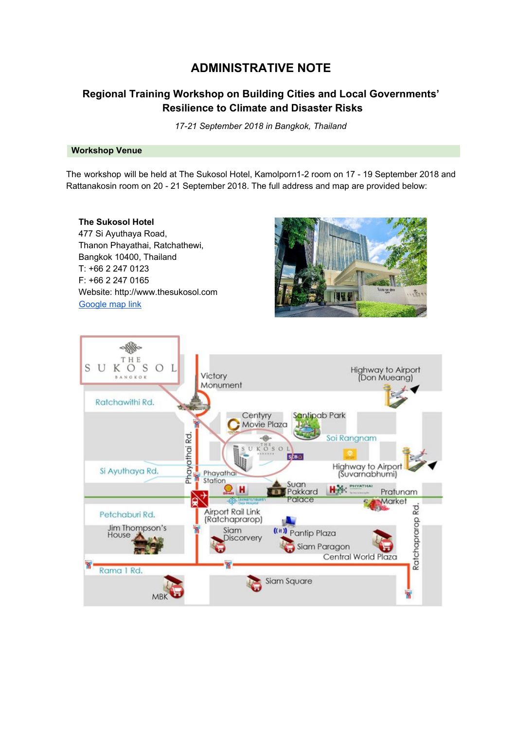# **ADMINISTRATIVE NOTE**

## **Regional Training Workshop on Building Cities and Local Governments' Resilience to Climate and Disaster Risks**

*17-21 September 2018 in Bangkok, Thailand*

## **Workshop Venue**

The workshop will be held at The Sukosol Hotel, Kamolporn1-2 room on 17 - 19 September 2018 and Rattanakosin room on 20 - 21 September 2018. The full address and map are provided below:

**The Sukosol Hotel** 477 Si Ayuthaya Road, Thanon Phayathai, Ratchathewi, Bangkok 10400, Thailand T: +66 2 247 0123 F: +66 2 247 0165 Website: http://www.thesukosol.com [Google](https://www.google.co.th/maps/place/The+Sukosol+Bangkok/@13.7579577,100.5359028,20z/data=!4m7!3m6!1s0x30e29eb604557293:0x3f3d4145356c3f9c!5m1!1s2018-09-04!8m2!3d13.7579776!4d100.5362369?hl=th&authuser=0) map link



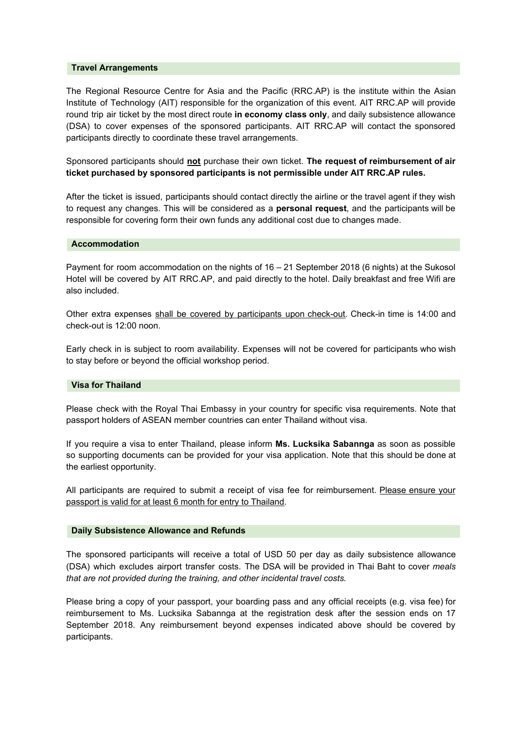#### **Travel Arrangements**

The Regional Resource Centre for Asia and the Pacific (RRC.AP) is the institute within the Asian Institute of Technology (AIT) responsible for the organization of this event. AIT RRC.AP will provide round trip air ticket by the most direct route **in economy class only**, and daily subsistence allowance (DSA) to cover expenses of the sponsored participants. AIT RRC.AP will contact the sponsored participants directly to coordinate these travel arrangements.

Sponsored participants should **not** purchase their own ticket. **The request of reimbursement of air ticket purchased by sponsored participants is not permissible under AIT RRC.AP rules.**

After the ticket is issued, participants should contact directly the airline or the travel agent if they wish to request any changes. This will be considered as a **personal request**, and the participants will be responsible for covering form their own funds any additional cost due to changes made.

#### **Accommodation**

Payment for room accommodation on the nights of 16 – 21 September 2018 (6 nights) at the Sukosol Hotel will be covered by AIT RRC.AP, and paid directly to the hotel. Daily breakfast and free Wifi are also included.

Other extra expenses shall be covered by participants upon check-out. Check-in time is 14:00 and check-out is 12:00 noon.

Early check in is subject to room availability. Expenses will not be covered for participants who wish to stay before or beyond the official workshop period.

#### **Visa for Thailand**

Please check with the Royal Thai Embassy in your country for specific visa requirements. Note that passport holders of ASEAN member countries can enter Thailand without visa.

If you require a visa to enter Thailand, please inform **Ms. Lucksika Sabannga** as soon as possible so supporting documents can be provided for your visa application. Note that this should be done at the earliest opportunity.

All participants are required to submit a receipt of visa fee for reimbursement. Please ensure your passport is valid for at least 6 month for entry to Thailand.

#### **Daily Subsistence Allowance and Refunds**

The sponsored participants will receive a total of USD 50 per day as daily subsistence allowance (DSA) which excludes airport transfer costs. The DSA will be provided in Thai Baht to cover *meals that are not provided during the training, and other incidental travel costs.*

Please bring a copy of your passport, your boarding pass and any official receipts (e.g. visa fee) for reimbursement to Ms. Lucksika Sabannga at the registration desk after the session ends on 17 September 2018. Any reimbursement beyond expenses indicated above should be covered by participants.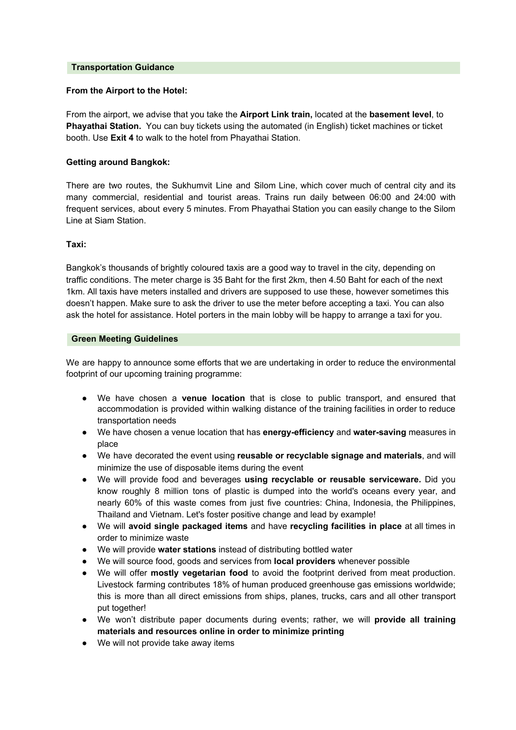#### **Transportation Guidance**

## **From the Airport to the Hotel:**

From the airport, we advise that you take the **Airport Link train,** located at the **basement level**, to **Phayathai Station.** You can buy tickets using the automated (in English) ticket machines or ticket booth. Use **Exit 4** to walk to the hotel from Phayathai Station.

## **Getting around Bangkok:**

There are two routes, the Sukhumvit Line and Silom Line, which cover much of central city and its many commercial, residential and tourist areas. Trains run daily between 06:00 and 24:00 with frequent services, about every 5 minutes. From Phayathai Station you can easily change to the Silom Line at Siam Station.

### **Taxi:**

Bangkok's thousands of brightly coloured taxis are a good way to travel in the city, depending on traffic conditions. The meter charge is 35 Baht for the first 2km, then 4.50 Baht for each of the next 1km. All taxis have meters installed and drivers are supposed to use these, however sometimes this doesn't happen. Make sure to ask the driver to use the meter before accepting a taxi. You can also ask the hotel for assistance. Hotel porters in the main lobby will be happy to arrange a taxi for you.

### **Green Meeting Guidelines**

We are happy to announce some efforts that we are undertaking in order to reduce the environmental footprint of our upcoming training programme:

- We have chosen a **venue location** that is close to public transport, and ensured that accommodation is provided within walking distance of the training facilities in order to reduce transportation needs
- We have chosen a venue location that has **energy-efficiency** and **water-saving** measures in place
- We have decorated the event using **reusable or recyclable signage and materials**, and will minimize the use of disposable items during the event
- We will provide food and beverages **using recyclable or reusable serviceware.** Did you know roughly 8 million tons of plastic is dumped into the world's oceans every year, and nearly 60% of this waste comes from just five countries: China, Indonesia, the Philippines, Thailand and Vietnam. Let's foster positive change and lead by example!
- We will **avoid single packaged items** and have **recycling facilities in place** at all times in order to minimize waste
- We will provide **water stations** instead of distributing bottled water
- We will source food, goods and services from **local providers** whenever possible
- We will offer **mostly vegetarian food** to avoid the footprint derived from meat production. Livestock farming contributes 18% of human produced greenhouse gas emissions worldwide; this is more than all direct emissions from ships, planes, trucks, cars and all other transport put together!
- We won't distribute paper documents during events; rather, we will **provide all training materials and resources online in order to minimize printing**
- We will not provide take away items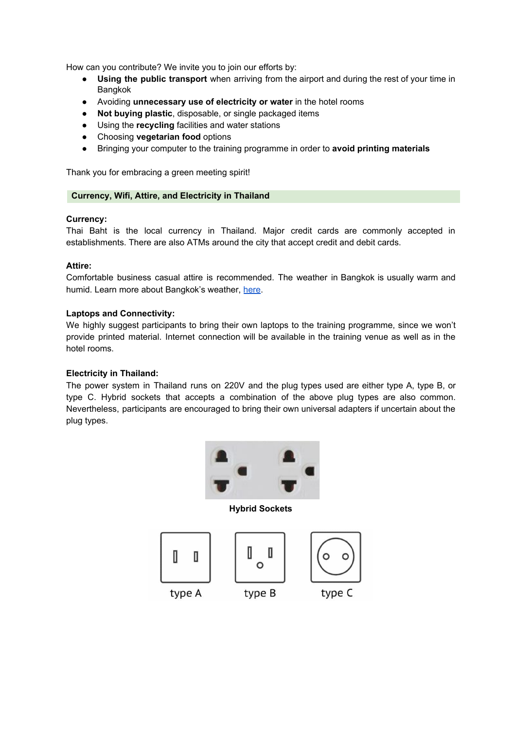How can you contribute? We invite you to join our efforts by:

- **Using the public transport** when arriving from the airport and during the rest of your time in Bangkok
- Avoiding **unnecessary use of electricity or water** in the hotel rooms
- **Not buying plastic**, disposable, or single packaged items
- Using the **recycling** facilities and water stations
- Choosing **vegetarian food** options
- Bringing your computer to the training programme in order to **avoid printing materials**

Thank you for embracing a green meeting spirit!

## **Currency, Wifi, Attire, and Electricity in Thailand**

## **Currency:**

Thai Baht is the local currency in Thailand. Major credit cards are commonly accepted in establishments. There are also ATMs around the city that accept credit and debit cards.

## **Attire:**

Comfortable business casual attire is recommended. The weather in Bangkok is usually warm and humid. Learn more about Bangkok's weather, [here](https://www.tmd.go.th/en/province.php?id=37).

### **Laptops and Connectivity:**

We highly suggest participants to bring their own laptops to the training programme, since we won't provide printed material. Internet connection will be available in the training venue as well as in the hotel rooms.

## **Electricity in Thailand:**

The power system in Thailand runs on 220V and the plug types used are either type A, type B, or type C. Hybrid sockets that accepts a combination of the above plug types are also common. Nevertheless, participants are encouraged to bring their own universal adapters if uncertain about the plug types.



**Hybrid Sockets**